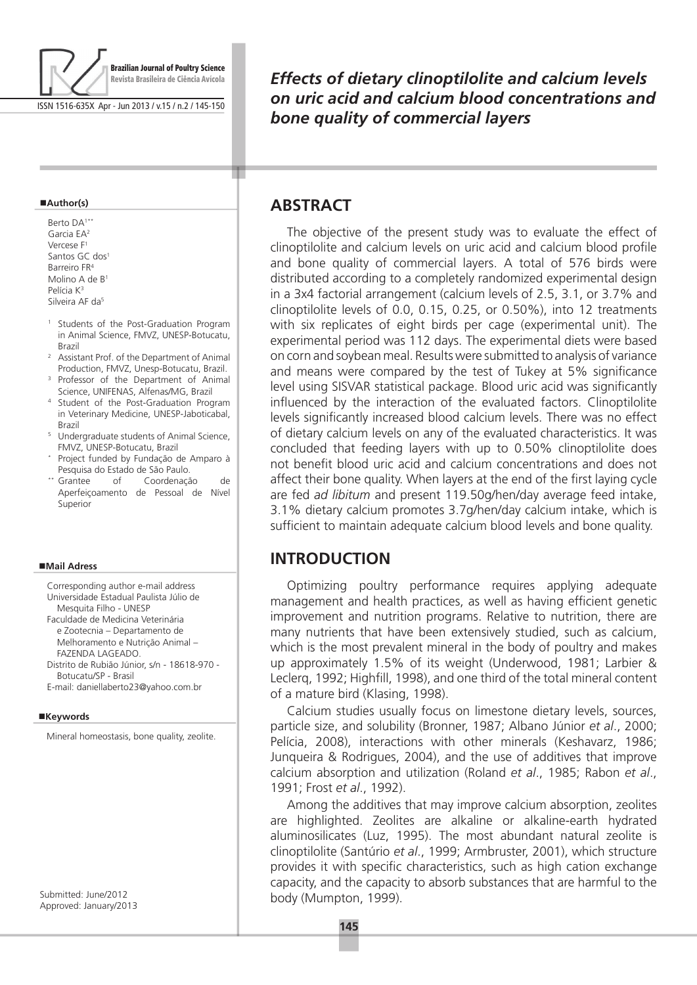

ISSN 1516-635X Apr - Jun 2013 / v.15 / n.2 / 145-150

#### **Author(s)**

Berto DA<sup>1\*</sup> Garcia EA2 Vercese F1 Santos GC dos<sup>1</sup> Barreiro FR4 Molino A de B1 Pelícia K3 Silveira AF da<sup>5</sup>

- <sup>1</sup> Students of the Post-Graduation Program in Animal Science, FMVZ, UNESP-Botucatu,
- Brazil<br><sup>2</sup> Assistant Prof. of the Department of Animal Production, FMVZ, Unesp-Botucatu, Brazil.
- <sup>3</sup> Professor of the Department of Animal Science, UNIFENAS, Alfenas/MG, Brazil
- <sup>4</sup> Student of the Post-Graduation Program in Veterinary Medicine, UNESP-Jaboticabal, Brazil
- <sup>5</sup> Undergraduate students of Animal Science, FMVZ, UNESP-Botucatu, Brazil
- Project funded by Fundação de Amparo à Pesquisa do Estado de São Paulo. \*\* Grantee of Coordenação de
- Aperfeiçoamento de Pessoal de Nível Superior

#### **Mail Adress**

Corresponding author e-mail address Universidade Estadual Paulista Júlio de Mesquita Filho - UNESP

Faculdade de Medicina Veterinária e Zootecnia – Departamento de Melhoramento e Nutrição Animal –

FAZENDA LAGEADO. Distrito de Rubião Júnior, s/n - 18618-970 - Botucatu/SP - Brasil

E-mail: daniellaberto23@yahoo.com.br

### **Keywords**

Mineral homeostasis, bone quality, zeolite.

Submitted: June/2012 Approved: January/2013 *Effects of dietary clinoptilolite and calcium levels on uric acid and calcium blood concentrations and bone quality of commercial layers*

## **ABSTRACT**

т

The objective of the present study was to evaluate the effect of clinoptilolite and calcium levels on uric acid and calcium blood profile and bone quality of commercial layers. A total of 576 birds were distributed according to a completely randomized experimental design in a 3x4 factorial arrangement (calcium levels of 2.5, 3.1, or 3.7% and clinoptilolite levels of 0.0, 0.15, 0.25, or 0.50%), into 12 treatments with six replicates of eight birds per cage (experimental unit). The experimental period was 112 days. The experimental diets were based on corn and soybean meal. Results were submitted to analysis of variance and means were compared by the test of Tukey at 5% significance level using SISVAR statistical package. Blood uric acid was significantly influenced by the interaction of the evaluated factors. Clinoptilolite levels significantly increased blood calcium levels. There was no effect of dietary calcium levels on any of the evaluated characteristics. It was concluded that feeding layers with up to 0.50% clinoptilolite does not benefit blood uric acid and calcium concentrations and does not affect their bone quality. When layers at the end of the first laying cycle are fed *ad libitum* and present 119.50g/hen/day average feed intake, 3.1% dietary calcium promotes 3.7g/hen/day calcium intake, which is sufficient to maintain adequate calcium blood levels and bone quality.

# **Introduction**

Optimizing poultry performance requires applying adequate management and health practices, as well as having efficient genetic improvement and nutrition programs. Relative to nutrition, there are many nutrients that have been extensively studied, such as calcium, which is the most prevalent mineral in the body of poultry and makes up approximately 1.5% of its weight (Underwood, 1981; Larbier & Leclerq, 1992; Highfill, 1998), and one third of the total mineral content of a mature bird (Klasing, 1998).

Calcium studies usually focus on limestone dietary levels, sources, particle size, and solubility (Bronner, 1987; Albano Júnior *et al*., 2000; Pelícia, 2008), interactions with other minerals (Keshavarz, 1986; Junqueira & Rodrigues, 2004), and the use of additives that improve calcium absorption and utilization (Roland *et al*., 1985; Rabon *et al*., 1991; Frost *et al*., 1992).

Among the additives that may improve calcium absorption, zeolites are highlighted. Zeolites are alkaline or alkaline-earth hydrated aluminosilicates (Luz, 1995). The most abundant natural zeolite is clinoptilolite (Santúrio *et al*., 1999; Armbruster, 2001), which structure provides it with specific characteristics, such as high cation exchange capacity, and the capacity to absorb substances that are harmful to the body (Mumpton, 1999).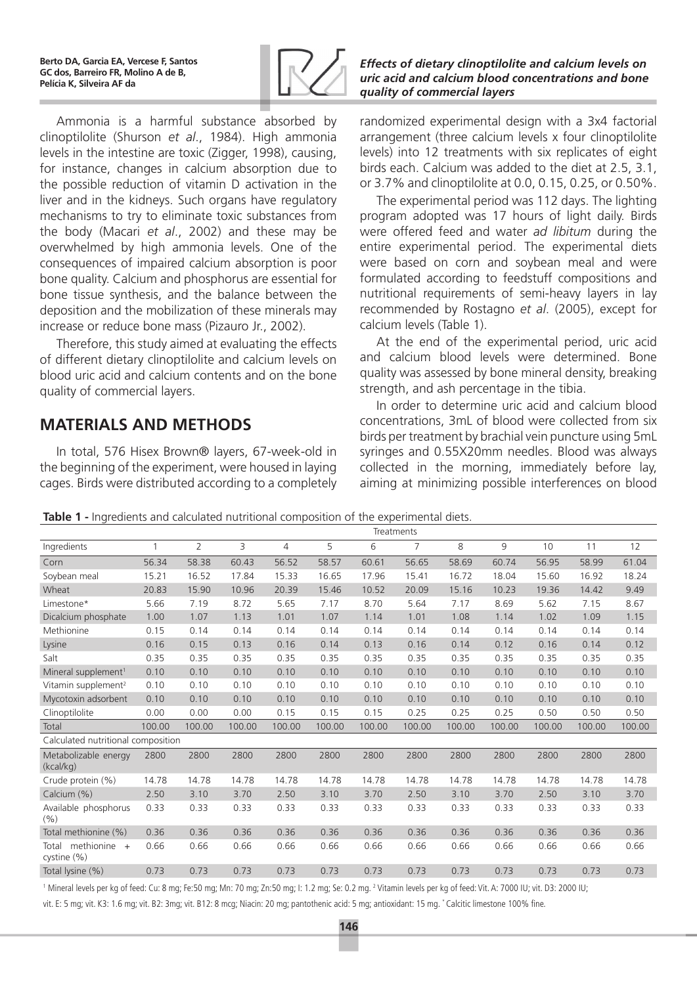

Ammonia is a harmful substance absorbed by clinoptilolite (Shurson *et al*., 1984). High ammonia levels in the intestine are toxic (Zigger, 1998), causing, for instance, changes in calcium absorption due to the possible reduction of vitamin D activation in the liver and in the kidneys. Such organs have regulatory mechanisms to try to eliminate toxic substances from the body (Macari *et al*., 2002) and these may be overwhelmed by high ammonia levels. One of the consequences of impaired calcium absorption is poor bone quality. Calcium and phosphorus are essential for bone tissue synthesis, and the balance between the deposition and the mobilization of these minerals may increase or reduce bone mass (Pizauro Jr., 2002).

Therefore, this study aimed at evaluating the effects of different dietary clinoptilolite and calcium levels on blood uric acid and calcium contents and on the bone quality of commercial layers.

# **MATERIALS AND METHODS**

In total, 576 Hisex Brown® layers, 67-week-old in the beginning of the experiment, were housed in laying cages. Birds were distributed according to a completely

### *Effects of dietary clinoptilolite and calcium levels on uric acid and calcium blood concentrations and bone quality of commercial layers*

randomized experimental design with a 3x4 factorial arrangement (three calcium levels x four clinoptilolite levels) into 12 treatments with six replicates of eight birds each. Calcium was added to the diet at 2.5, 3.1, or 3.7% and clinoptilolite at 0.0, 0.15, 0.25, or 0.50%.

The experimental period was 112 days. The lighting program adopted was 17 hours of light daily. Birds were offered feed and water *ad libitum* during the entire experimental period. The experimental diets were based on corn and soybean meal and were formulated according to feedstuff compositions and nutritional requirements of semi-heavy layers in lay recommended by Rostagno *et al*. (2005), except for calcium levels (Table 1).

At the end of the experimental period, uric acid and calcium blood levels were determined. Bone quality was assessed by bone mineral density, breaking strength, and ash percentage in the tibia.

In order to determine uric acid and calcium blood concentrations, 3mL of blood were collected from six birds per treatment by brachial vein puncture using 5mL syringes and 0.55X20mm needles. Blood was always collected in the morning, immediately before lay, aiming at minimizing possible interferences on blood

**Table 1 -** Ingredients and calculated nutritional composition of the experimental diets.

|                                      | Treatments |        |        |        |        |        |                |        |        |        |        |        |
|--------------------------------------|------------|--------|--------|--------|--------|--------|----------------|--------|--------|--------|--------|--------|
| Ingredients                          | 1          | 2      | 3      | 4      | 5      | 6      | $\overline{7}$ | 8      | 9      | 10     | 11     | 12     |
| Corn                                 | 56.34      | 58.38  | 60.43  | 56.52  | 58.57  | 60.61  | 56.65          | 58.69  | 60.74  | 56.95  | 58.99  | 61.04  |
| Soybean meal                         | 15.21      | 16.52  | 17.84  | 15.33  | 16.65  | 17.96  | 15.41          | 16.72  | 18.04  | 15.60  | 16.92  | 18.24  |
| Wheat                                | 20.83      | 15.90  | 10.96  | 20.39  | 15.46  | 10.52  | 20.09          | 15.16  | 10.23  | 19.36  | 14.42  | 9.49   |
| Limestone*                           | 5.66       | 7.19   | 8.72   | 5.65   | 7.17   | 8.70   | 5.64           | 7.17   | 8.69   | 5.62   | 7.15   | 8.67   |
| Dicalcium phosphate                  | 1.00       | 1.07   | 1.13   | 1.01   | 1.07   | 1.14   | 1.01           | 1.08   | 1.14   | 1.02   | 1.09   | 1.15   |
| Methionine                           | 0.15       | 0.14   | 0.14   | 0.14   | 0.14   | 0.14   | 0.14           | 0.14   | 0.14   | 0.14   | 0.14   | 0.14   |
| Lysine                               | 0.16       | 0.15   | 0.13   | 0.16   | 0.14   | 0.13   | 0.16           | 0.14   | 0.12   | 0.16   | 0.14   | 0.12   |
| Salt                                 | 0.35       | 0.35   | 0.35   | 0.35   | 0.35   | 0.35   | 0.35           | 0.35   | 0.35   | 0.35   | 0.35   | 0.35   |
| Mineral supplement <sup>1</sup>      | 0.10       | 0.10   | 0.10   | 0.10   | 0.10   | 0.10   | 0.10           | 0.10   | 0.10   | 0.10   | 0.10   | 0.10   |
| Vitamin supplement <sup>2</sup>      | 0.10       | 0.10   | 0.10   | 0.10   | 0.10   | 0.10   | 0.10           | 0.10   | 0.10   | 0.10   | 0.10   | 0.10   |
| Mycotoxin adsorbent                  | 0.10       | 0.10   | 0.10   | 0.10   | 0.10   | 0.10   | 0.10           | 0.10   | 0.10   | 0.10   | 0.10   | 0.10   |
| Clinoptilolite                       | 0.00       | 0.00   | 0.00   | 0.15   | 0.15   | 0.15   | 0.25           | 0.25   | 0.25   | 0.50   | 0.50   | 0.50   |
| Total                                | 100.00     | 100.00 | 100.00 | 100.00 | 100.00 | 100.00 | 100.00         | 100.00 | 100.00 | 100.00 | 100.00 | 100.00 |
| Calculated nutritional composition   |            |        |        |        |        |        |                |        |        |        |        |        |
| Metabolizable energy<br>(kcal/kg)    | 2800       | 2800   | 2800   | 2800   | 2800   | 2800   | 2800           | 2800   | 2800   | 2800   | 2800   | 2800   |
| Crude protein (%)                    | 14.78      | 14.78  | 14.78  | 14.78  | 14.78  | 14.78  | 14.78          | 14.78  | 14.78  | 14.78  | 14.78  | 14.78  |
| Calcium (%)                          | 2.50       | 3.10   | 3.70   | 2.50   | 3.10   | 3.70   | 2.50           | 3.10   | 3.70   | 2.50   | 3.10   | 3.70   |
| Available phosphorus<br>(9/6)        | 0.33       | 0.33   | 0.33   | 0.33   | 0.33   | 0.33   | 0.33           | 0.33   | 0.33   | 0.33   | 0.33   | 0.33   |
| Total methionine (%)                 | 0.36       | 0.36   | 0.36   | 0.36   | 0.36   | 0.36   | 0.36           | 0.36   | 0.36   | 0.36   | 0.36   | 0.36   |
| methionine +<br>Total<br>cystine (%) | 0.66       | 0.66   | 0.66   | 0.66   | 0.66   | 0.66   | 0.66           | 0.66   | 0.66   | 0.66   | 0.66   | 0.66   |
| Total lysine (%)                     | 0.73       | 0.73   | 0.73   | 0.73   | 0.73   | 0.73   | 0.73           | 0.73   | 0.73   | 0.73   | 0.73   | 0.73   |

<sup>1</sup> Mineral levels per kg of feed: Cu: 8 mg; Fe:50 mg; Mn: 70 mg; Zn:50 mg; I: 1.2 mg; Se: 0.2 mg. <sup>2</sup> Vitamin levels per kg of feed: Vit. A: 7000 IU; vit. D3: 2000 IU;

vit. E: 5 mg; vit. K3: 1.6 mg; vit. B2: 3mg; vit. B12: 8 mcg; Niacin: 20 mg; pantothenic acid: 5 mg; antioxidant: 15 mg. \* Calcitic limestone 100% fine.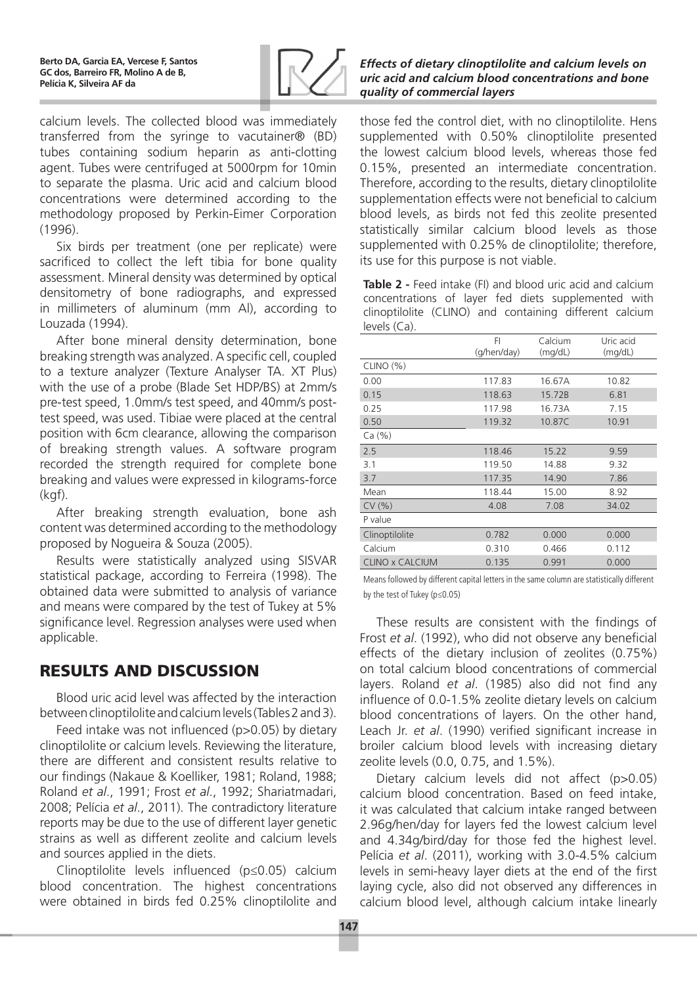

calcium levels. The collected blood was immediately transferred from the syringe to vacutainer® (BD) tubes containing sodium heparin as anti-clotting agent. Tubes were centrifuged at 5000rpm for 10min to separate the plasma. Uric acid and calcium blood concentrations were determined according to the methodology proposed by Perkin-Eimer Corporation (1996).

Six birds per treatment (one per replicate) were sacrificed to collect the left tibia for bone quality assessment. Mineral density was determined by optical densitometry of bone radiographs, and expressed in millimeters of aluminum (mm Al), according to Louzada (1994).

After bone mineral density determination, bone breaking strength was analyzed. A specific cell, coupled to a texture analyzer (Texture Analyser TA. XT Plus) with the use of a probe (Blade Set HDP/BS) at 2mm/s pre-test speed, 1.0mm/s test speed, and 40mm/s posttest speed, was used. Tibiae were placed at the central position with 6cm clearance, allowing the comparison of breaking strength values. A software program recorded the strength required for complete bone breaking and values were expressed in kilograms-force (kgf).

After breaking strength evaluation, bone ash content was determined according to the methodology proposed by Nogueira & Souza (2005).

Results were statistically analyzed using SISVAR statistical package, according to Ferreira (1998). The obtained data were submitted to analysis of variance and means were compared by the test of Tukey at 5% significance level. Regression analyses were used when applicable.

# Results and Discussion

Blood uric acid level was affected by the interaction between clinoptilolite and calcium levels (Tables 2 and 3).

Feed intake was not influenced (p>0.05) by dietary clinoptilolite or calcium levels. Reviewing the literature, there are different and consistent results relative to our findings (Nakaue & Koelliker, 1981; Roland, 1988; Roland *et al*., 1991; Frost *et al*., 1992; Shariatmadari, 2008; Pelícia *et al*., 2011). The contradictory literature reports may be due to the use of different layer genetic strains as well as different zeolite and calcium levels and sources applied in the diets.

Clinoptilolite levels influenced (p≤0.05) calcium blood concentration. The highest concentrations were obtained in birds fed 0.25% clinoptilolite and

## *Effects of dietary clinoptilolite and calcium levels on uric acid and calcium blood concentrations and bone quality of commercial layers*

those fed the control diet, with no clinoptilolite. Hens supplemented with 0.50% clinoptilolite presented the lowest calcium blood levels, whereas those fed 0.15%, presented an intermediate concentration. Therefore, according to the results, dietary clinoptilolite supplementation effects were not beneficial to calcium blood levels, as birds not fed this zeolite presented statistically similar calcium blood levels as those supplemented with 0.25% de clinoptilolite; therefore, its use for this purpose is not viable.

**Table 2 -** Feed intake (FI) and blood uric acid and calcium concentrations of layer fed diets supplemented with clinoptilolite (CLINO) and containing different calcium levels (Ca).

|                 | FI               | Calcium        | Uric acid |  |
|-----------------|------------------|----------------|-----------|--|
|                 | (g/hen/day)      | (mq/dL)        | (mq/dL)   |  |
| CLINO (%)       |                  |                |           |  |
| 0.00            | 117.83           | 16.67A         | 10.82     |  |
| 0.15            | 118.63           | 15.72B         | 6.81      |  |
| 0.25            | 117.98<br>16.73A |                | 7.15      |  |
| 0.50            | 10.87C<br>119.32 |                | 10.91     |  |
| Ca (%)          |                  |                |           |  |
| 2.5             | 118.46           | 15.22          | 9.59      |  |
| 3.1             | 119.50           | 14.88          | 9.32      |  |
| 3.7             | 117.35           | 14.90          | 7.86      |  |
| Mean            | 118.44           | 15.00          | 8.92      |  |
| CV(% )          | 4.08             | 7.08           | 34.02     |  |
| P value         |                  |                |           |  |
| Clinoptilolite  | 0.782            | 0.000          | 0.000     |  |
| Calcium         | 0.310            | 0.466<br>0.112 |           |  |
| CLINO x CALCIUM | 0.135            | 0.991          | 0.000     |  |

Means followed by different capital letters in the same column are statistically different by the test of Tukey (p≤0.05)

These results are consistent with the findings of Frost *et al*. (1992), who did not observe any beneficial effects of the dietary inclusion of zeolites (0.75%) on total calcium blood concentrations of commercial layers. Roland *et al*. (1985) also did not find any influence of 0.0-1.5% zeolite dietary levels on calcium blood concentrations of layers. On the other hand, Leach Jr. *et al*. (1990) verified significant increase in broiler calcium blood levels with increasing dietary zeolite levels (0.0, 0.75, and 1.5%).

Dietary calcium levels did not affect (p>0.05) calcium blood concentration. Based on feed intake, it was calculated that calcium intake ranged between 2.96g/hen/day for layers fed the lowest calcium level and 4.34g/bird/day for those fed the highest level. Pelícia *et al*. (2011), working with 3.0-4.5% calcium levels in semi-heavy layer diets at the end of the first laying cycle, also did not observed any differences in calcium blood level, although calcium intake linearly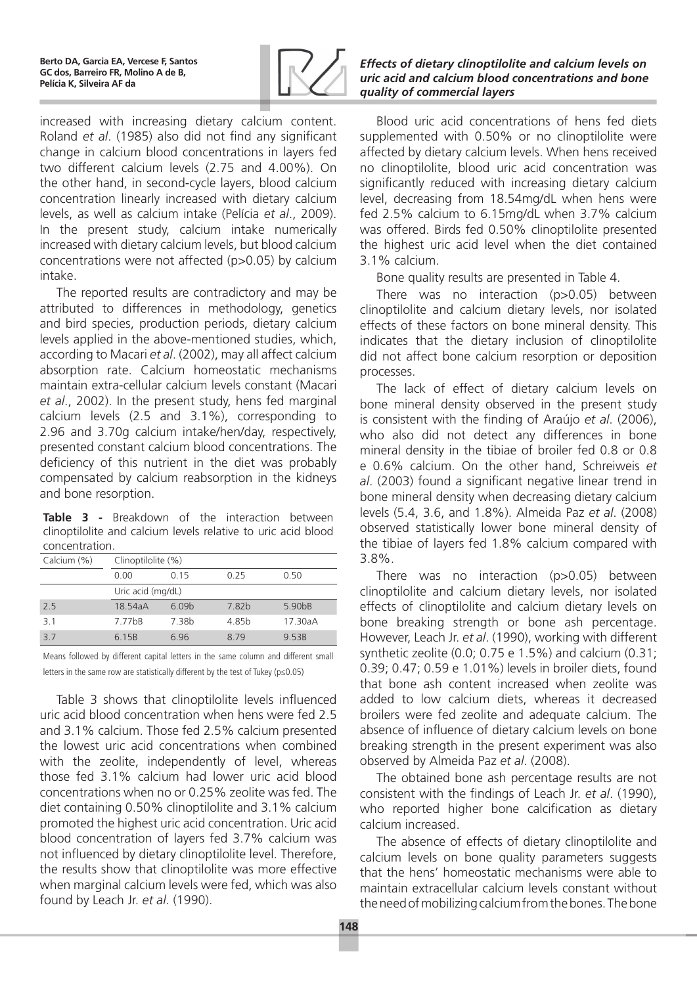

increased with increasing dietary calcium content. Roland *et al*. (1985) also did not find any significant change in calcium blood concentrations in layers fed two different calcium levels (2.75 and 4.00%). On the other hand, in second-cycle layers, blood calcium concentration linearly increased with dietary calcium levels, as well as calcium intake (Pelícia *et al*., 2009). In the present study, calcium intake numerically increased with dietary calcium levels, but blood calcium concentrations were not affected (p>0.05) by calcium intake.

The reported results are contradictory and may be attributed to differences in methodology, genetics and bird species, production periods, dietary calcium levels applied in the above-mentioned studies, which, according to Macari *et al*. (2002), may all affect calcium absorption rate. Calcium homeostatic mechanisms maintain extra-cellular calcium levels constant (Macari *et al*., 2002). In the present study, hens fed marginal calcium levels (2.5 and 3.1%), corresponding to 2.96 and 3.70g calcium intake/hen/day, respectively, presented constant calcium blood concentrations. The deficiency of this nutrient in the diet was probably compensated by calcium reabsorption in the kidneys and bone resorption.

**Table 3 -** Breakdown of the interaction between clinoptilolite and calcium levels relative to uric acid blood concentration.

| Calcium (%) | Clinoptilolite (%)  |                   |                   |                     |  |  |  |
|-------------|---------------------|-------------------|-------------------|---------------------|--|--|--|
|             | 0.00                | O 15              | 0.25              | 0.50                |  |  |  |
|             | Uric acid (mg/dL)   |                   |                   |                     |  |  |  |
| 25          | 18.54aA             | 6.09 <sub>b</sub> | 7.82b             | 5.90 <sub>b</sub> B |  |  |  |
| 31          | 7.77 <sub>b</sub> B | 7.38 <sub>b</sub> | 4.85 <sub>b</sub> | 17.30aA             |  |  |  |
| 37          | 6.15B               | 6.96              | 8.79              | 9.53B               |  |  |  |

Means followed by different capital letters in the same column and different small letters in the same row are statistically different by the test of Tukey (p≤0.05)

Table 3 shows that clinoptilolite levels influenced uric acid blood concentration when hens were fed 2.5 and 3.1% calcium. Those fed 2.5% calcium presented the lowest uric acid concentrations when combined with the zeolite, independently of level, whereas those fed 3.1% calcium had lower uric acid blood concentrations when no or 0.25% zeolite was fed. The diet containing 0.50% clinoptilolite and 3.1% calcium promoted the highest uric acid concentration. Uric acid blood concentration of layers fed 3.7% calcium was not influenced by dietary clinoptilolite level. Therefore, the results show that clinoptilolite was more effective when marginal calcium levels were fed, which was also found by Leach Jr. *et al*. (1990).

### *Effects of dietary clinoptilolite and calcium levels on uric acid and calcium blood concentrations and bone quality of commercial layers*

Blood uric acid concentrations of hens fed diets supplemented with 0.50% or no clinoptilolite were affected by dietary calcium levels. When hens received no clinoptilolite, blood uric acid concentration was significantly reduced with increasing dietary calcium level, decreasing from 18.54mg/dL when hens were fed 2.5% calcium to 6.15mg/dL when 3.7% calcium was offered. Birds fed 0.50% clinoptilolite presented the highest uric acid level when the diet contained 3.1% calcium.

Bone quality results are presented in Table 4.

There was no interaction (p>0.05) between clinoptilolite and calcium dietary levels, nor isolated effects of these factors on bone mineral density. This indicates that the dietary inclusion of clinoptilolite did not affect bone calcium resorption or deposition processes.

The lack of effect of dietary calcium levels on bone mineral density observed in the present study is consistent with the finding of Araújo *et al*. (2006), who also did not detect any differences in bone mineral density in the tibiae of broiler fed 0.8 or 0.8 e 0.6% calcium. On the other hand, Schreiweis *et al*. (2003) found a significant negative linear trend in bone mineral density when decreasing dietary calcium levels (5.4, 3.6, and 1.8%). Almeida Paz *et al*. (2008) observed statistically lower bone mineral density of the tibiae of layers fed 1.8% calcium compared with 3.8%.

There was no interaction (p>0.05) between clinoptilolite and calcium dietary levels, nor isolated effects of clinoptilolite and calcium dietary levels on bone breaking strength or bone ash percentage. However, Leach Jr. *et al*. (1990), working with different synthetic zeolite (0.0; 0.75 e 1.5%) and calcium (0.31; 0.39; 0.47; 0.59 e 1.01%) levels in broiler diets, found that bone ash content increased when zeolite was added to low calcium diets, whereas it decreased broilers were fed zeolite and adequate calcium. The absence of influence of dietary calcium levels on bone breaking strength in the present experiment was also observed by Almeida Paz *et al*. (2008).

The obtained bone ash percentage results are not consistent with the findings of Leach Jr. *et al*. (1990), who reported higher bone calcification as dietary calcium increased.

The absence of effects of dietary clinoptilolite and calcium levels on bone quality parameters suggests that the hens' homeostatic mechanisms were able to maintain extracellular calcium levels constant without the need of mobilizing calcium from the bones. The bone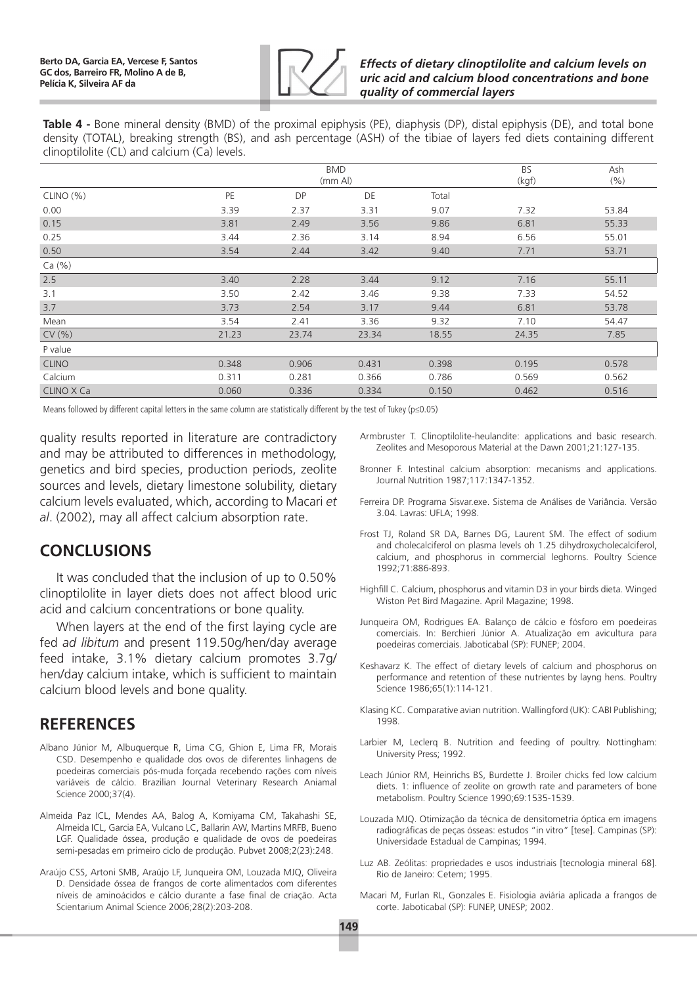

### *Effects of dietary clinoptilolite and calcium levels on uric acid and calcium blood concentrations and bone quality of commercial layers*

**Table 4 -** Bone mineral density (BMD) of the proximal epiphysis (PE), diaphysis (DP), distal epiphysis (DE), and total bone density (TOTAL), breaking strength (BS), and ash percentage (ASH) of the tibiae of layers fed diets containing different clinoptilolite (CL) and calcium (Ca) levels.

|              |       | <b>BMD</b><br>(mm Al) | <b>BS</b><br>(kgf) | Ash<br>(%) |       |       |
|--------------|-------|-----------------------|--------------------|------------|-------|-------|
| CLINO (%)    | PE    | <b>DP</b>             | DE                 | Total      |       |       |
| 0.00         | 3.39  | 2.37                  | 3.31               | 9.07       | 7.32  | 53.84 |
| 0.15         | 3.81  | 2.49                  | 3.56               | 9.86       | 6.81  | 55.33 |
| 0.25         | 3.44  | 2.36                  | 3.14               | 8.94       | 6.56  | 55.01 |
| 0.50         | 3.54  | 2.44                  | 3.42               | 9.40       | 7.71  | 53.71 |
| Ca (%)       |       |                       |                    |            |       |       |
| 2.5          | 3.40  | 2.28                  | 3.44               | 9.12       | 7.16  | 55.11 |
| 3.1          | 3.50  | 2.42                  | 3.46               | 9.38       | 7.33  | 54.52 |
| 3.7          | 3.73  | 2.54                  | 3.17               | 9.44       | 6.81  | 53.78 |
| Mean         | 3.54  | 2.41                  | 3.36               | 9.32       | 7.10  | 54.47 |
| CV(% )       | 21.23 | 23.74                 | 23.34              | 18.55      | 24.35 | 7.85  |
| P value      |       |                       |                    |            |       |       |
| <b>CLINO</b> | 0.348 | 0.906                 | 0.431              | 0.398      | 0.195 | 0.578 |
| Calcium      | 0.311 | 0.281                 | 0.366              | 0.786      | 0.569 | 0.562 |
| CLINO X Ca   | 0.060 | 0.336                 | 0.334              | 0.150      | 0.462 | 0.516 |

Means followed by different capital letters in the same column are statistically different by the test of Tukey (p≤0.05)

quality results reported in literature are contradictory and may be attributed to differences in methodology, genetics and bird species, production periods, zeolite sources and levels, dietary limestone solubility, dietary calcium levels evaluated, which, according to Macari *et al*. (2002), may all affect calcium absorption rate.

# **Conclusions**

It was concluded that the inclusion of up to 0.50% clinoptilolite in layer diets does not affect blood uric acid and calcium concentrations or bone quality.

When layers at the end of the first laying cycle are fed *ad libitum* and present 119.50g/hen/day average feed intake, 3.1% dietary calcium promotes 3.7g/ hen/day calcium intake, which is sufficient to maintain calcium blood levels and bone quality.

# **References**

- Albano Júnior M, Albuquerque R, Lima CG, Ghion E, Lima FR, Morais CSD. Desempenho e qualidade dos ovos de diferentes linhagens de poedeiras comerciais pós-muda forçada recebendo rações com níveis variáveis de cálcio. Brazilian Journal Veterinary Research Aniamal Science 2000;37(4).
- Almeida Paz ICL, Mendes AA, Balog A, Komiyama CM, Takahashi SE, Almeida ICL, Garcia EA, Vulcano LC, Ballarin AW, Martins MRFB, Bueno LGF. Qualidade óssea, produção e qualidade de ovos de poedeiras semi-pesadas em primeiro ciclo de produção. Pubvet 2008;2(23):248.
- Araújo CSS, Artoni SMB, Araújo LF, Junqueira OM, Louzada MJQ, Oliveira D. Densidade óssea de frangos de corte alimentados com diferentes níveis de aminoácidos e cálcio durante a fase final de criação. Acta Scientarium Animal Science 2006;28(2):203-208.
- Armbruster T. Clinoptilolite-heulandite: applications and basic research. Zeolites and Mesoporous Material at the Dawn 2001;21:127-135.
- Bronner F. Intestinal calcium absorption: mecanisms and applications. Journal Nutrition 1987;117:1347-1352.
- Ferreira DP. Programa Sisvar.exe. Sistema de Análises de Variância. Versão 3.04. Lavras: UFLA; 1998.
- Frost TJ, Roland SR DA, Barnes DG, Laurent SM. The effect of sodium and cholecalciferol on plasma levels oh 1.25 dihydroxycholecalciferol, calcium, and phosphorus in commercial leghorns. Poultry Science 1992;71:886-893.
- Highfill C. Calcium, phosphorus and vitamin D3 in your birds dieta. Winged Wiston Pet Bird Magazine. April Magazine; 1998.
- Junqueira OM, Rodrigues EA. Balanço de cálcio e fósforo em poedeiras comerciais. In: Berchieri Júnior A. Atualização em avicultura para poedeiras comerciais. Jaboticabal (SP): FUNEP; 2004.
- Keshavarz K. The effect of dietary levels of calcium and phosphorus on performance and retention of these nutrientes by layng hens. Poultry Science 1986;65(1):114-121.
- Klasing KC. Comparative avian nutrition. Wallingford (UK): CABI Publishing; 1998.
- Larbier M, Leclerq B. Nutrition and feeding of poultry. Nottingham: University Press; 1992.
- Leach Júnior RM, Heinrichs BS, Burdette J. Broiler chicks fed low calcium diets. 1: influence of zeolite on growth rate and parameters of bone metabolism. Poultry Science 1990;69:1535-1539.
- Louzada MJQ. Otimização da técnica de densitometria óptica em imagens radiográficas de peças ósseas: estudos "in vitro" [tese]. Campinas (SP): Universidade Estadual de Campinas; 1994.
- Luz AB. Zeólitas: propriedades e usos industriais [tecnologia mineral 68]. Rio de Janeiro: Cetem; 1995.
- Macari M, Furlan RL, Gonzales E. Fisiologia aviária aplicada a frangos de corte. Jaboticabal (SP): FUNEP, UNESP; 2002.